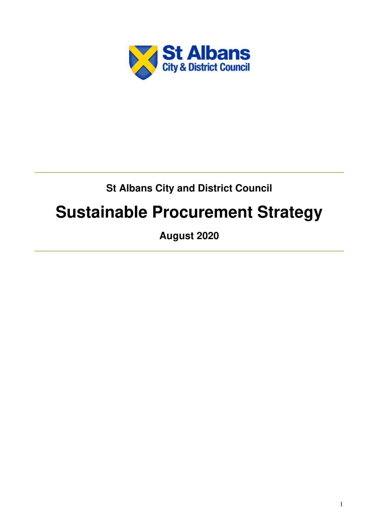

## **St Albans City and District Council**

# **Sustainable Procurement Strategy**

**August 2020**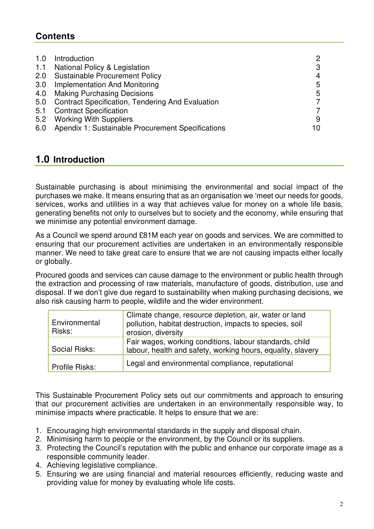## **Contents**

| 1.0<br>1.1 | Introduction<br>National Policy & Legislation           | 2<br>3 |
|------------|---------------------------------------------------------|--------|
| 2.0        | <b>Sustainable Procurement Policy</b>                   |        |
|            |                                                         | 4      |
| 3.0        | <b>Implementation And Monitoring</b>                    | 5      |
| 4.0        | <b>Making Purchasing Decisions</b>                      | 5      |
| 5.0        | <b>Contract Specification, Tendering And Evaluation</b> |        |
| 5.1        | <b>Contract Specification</b>                           |        |
| 5.2        | <b>Working With Suppliers</b>                           | 9      |
| 6.0        | Apendix 1: Sustainable Procurement Specifications       | 10     |

## **1.0 Introduction**

Sustainable purchasing is about minimising the environmental and social impact of the purchases we make. It means ensuring that as an organisation we 'meet our needs for goods, services, works and utilities in a way that achieves value for money on a whole life basis, generating benefits not only to ourselves but to society and the economy, while ensuring that we minimise any potential environment damage.

As a Council we spend around £81M each year on goods and services. We are committed to ensuring that our procurement activities are undertaken in an environmentally responsible manner. We need to take great care to ensure that we are not causing impacts either locally or globally.

Procured goods and services can cause damage to the environment or public health through the extraction and processing of raw materials, manufacture of goods, distribution, use and disposal. If we don't give due regard to sustainability when making purchasing decisions, we also risk causing harm to people, wildlife and the wider environment.

| Environmental<br>Risks: | Climate change, resource depletion, air, water or land<br>pollution, habitat destruction, impacts to species, soil<br>erosion, diversity |
|-------------------------|------------------------------------------------------------------------------------------------------------------------------------------|
| Social Risks:           | Fair wages, working conditions, labour standards, child<br>labour, health and safety, working hours, equality, slavery                   |
| Profile Risks:          | Legal and environmental compliance, reputational                                                                                         |

This Sustainable Procurement Policy sets out our commitments and approach to ensuring that our procurement activities are undertaken in an environmentally responsible way, to minimise impacts where practicable. It helps to ensure that we are:

- 1. Encouraging high environmental standards in the supply and disposal chain.
- 2. Minimising harm to people or the environment, by the Council or its suppliers.
- 3. Protecting the Council's reputation with the public and enhance our corporate image as a responsible community leader.
- 4. Achieving legislative compliance.
- 5. Ensuring we are using financial and material resources efficiently, reducing waste and providing value for money by evaluating whole life costs.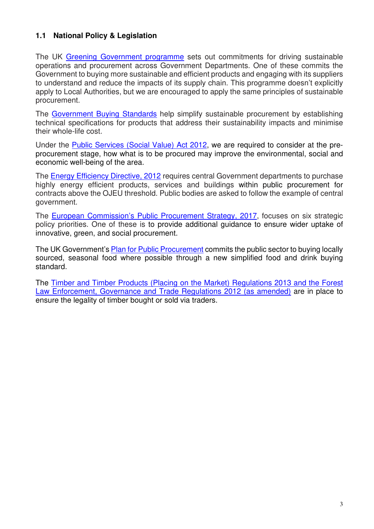#### **1.1 National Policy & Legislation**

The UK Greening Government programme sets out commitments for driving sustainable operations and procurement across Government Departments. One of these commits the Government to buying more sustainable and efficient products and engaging with its suppliers to understand and reduce the impacts of its supply chain. This programme doesn't explicitly apply to Local Authorities, but we are encouraged to apply the same principles of sustainable procurement.

The Government Buying Standards help simplify sustainable procurement by establishing technical specifications for products that address their sustainability impacts and minimise their whole-life cost.

Under the Public Services (Social Value) Act 2012, we are required to consider at the preprocurement stage, how what is to be procured may improve the environmental, social and economic well-being of the area.

The Energy Efficiency Directive, 2012 requires central Government departments to purchase highly energy efficient products, services and buildings within public procurement for contracts above the OJEU threshold. Public bodies are asked to follow the example of central government.

The European Commission's Public Procurement Strategy, 2017, focuses on six strategic policy priorities. One of these is to provide additional guidance to ensure wider uptake of innovative, green, and social procurement.

The UK Government's Plan for Public Procurement commits the public sector to buying locally sourced, seasonal food where possible through a new simplified food and drink buying standard.

The Timber and Timber Products (Placing on the Market) Regulations 2013 and the Forest Law Enforcement, Governance and Trade Regulations 2012 (as amended) are in place to ensure the legality of timber bought or sold via traders.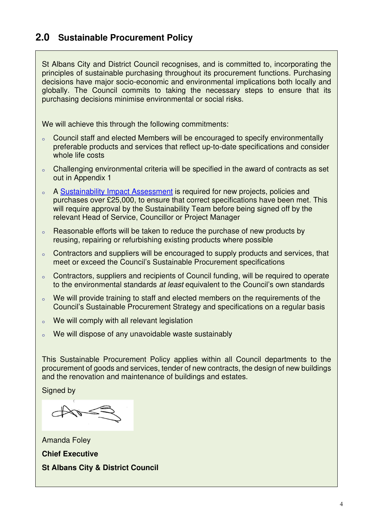## **2.0 Sustainable Procurement Policy**

St Albans City and District Council recognises, and is committed to, incorporating the principles of sustainable purchasing throughout its procurement functions. Purchasing decisions have major socio-economic and environmental implications both locally and globally. The Council commits to taking the necessary steps to ensure that its purchasing decisions minimise environmental or social risks.

We will achieve this through the following commitments:

- <sup>o</sup> Council staff and elected Members will be encouraged to specify environmentally preferable products and services that reflect up-to-date specifications and consider whole life costs
- o Challenging environmental criteria will be specified in the award of contracts as set out in Appendix 1
- <sup>o</sup> A Sustainability Impact Assessment is required for new projects, policies and purchases over £25,000, to ensure that correct specifications have been met. This will require approval by the Sustainability Team before being signed off by the relevant Head of Service, Councillor or Project Manager
- <sup>o</sup> Reasonable efforts will be taken to reduce the purchase of new products by reusing, repairing or refurbishing existing products where possible
- <sup>o</sup> Contractors and suppliers will be encouraged to supply products and services, that meet or exceed the Council's Sustainable Procurement specifications
- <sup>o</sup> Contractors, suppliers and recipients of Council funding, will be required to operate to the environmental standards *at least* equivalent to the Council's own standards
- <sup>o</sup> We will provide training to staff and elected members on the requirements of the Council's Sustainable Procurement Strategy and specifications on a regular basis
- <sup>o</sup> We will comply with all relevant legislation
- We will dispose of any unavoidable waste sustainably

This Sustainable Procurement Policy applies within all Council departments to the procurement of goods and services, tender of new contracts, the design of new buildings and the renovation and maintenance of buildings and estates.

Signed by

Amanda Foley **Chief Executive St Albans City & District Council**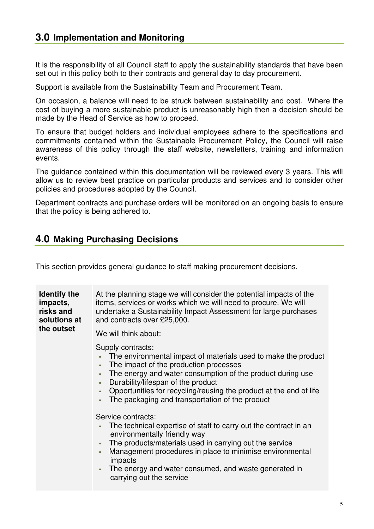## **3.0 Implementation and Monitoring**

It is the responsibility of all Council staff to apply the sustainability standards that have been set out in this policy both to their contracts and general day to day procurement.

Support is available from the Sustainability Team and Procurement Team.

On occasion, a balance will need to be struck between sustainability and cost. Where the cost of buying a more sustainable product is unreasonably high then a decision should be made by the Head of Service as how to proceed.

To ensure that budget holders and individual employees adhere to the specifications and commitments contained within the Sustainable Procurement Policy, the Council will raise awareness of this policy through the staff website, newsletters, training and information events.

The guidance contained within this documentation will be reviewed every 3 years. This will allow us to review best practice on particular products and services and to consider other policies and procedures adopted by the Council.

Department contracts and purchase orders will be monitored on an ongoing basis to ensure that the policy is being adhered to.

### **4.0 Making Purchasing Decisions**

This section provides general guidance to staff making procurement decisions.

| <b>Identify the</b><br>impacts,<br>risks and<br>solutions at<br>the outset | At the planning stage we will consider the potential impacts of the<br>items, services or works which we will need to procure. We will<br>undertake a Sustainability Impact Assessment for large purchases<br>and contracts over £25,000.                                                                                                                                                                                                                                                                                                                                                                                                                                                                                                                                     |
|----------------------------------------------------------------------------|-------------------------------------------------------------------------------------------------------------------------------------------------------------------------------------------------------------------------------------------------------------------------------------------------------------------------------------------------------------------------------------------------------------------------------------------------------------------------------------------------------------------------------------------------------------------------------------------------------------------------------------------------------------------------------------------------------------------------------------------------------------------------------|
|                                                                            | We will think about:<br>Supply contracts:<br>The environmental impact of materials used to make the product<br>The impact of the production processes<br>٠<br>The energy and water consumption of the product during use<br>×.<br>Durability/lifespan of the product<br>×.<br>Opportunities for recycling/reusing the product at the end of life<br>٠<br>The packaging and transportation of the product<br>٠<br>Service contracts:<br>The technical expertise of staff to carry out the contract in an<br>environmentally friendly way<br>The products/materials used in carrying out the service<br>٠<br>Management procedures in place to minimise environmental<br>٠<br>impacts<br>The energy and water consumed, and waste generated in<br>٠<br>carrying out the service |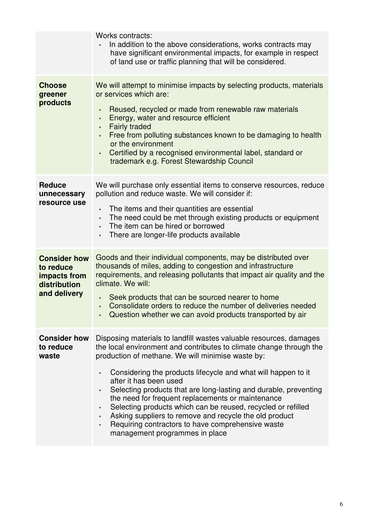|                                                                                  | <b>Works contracts:</b><br>In addition to the above considerations, works contracts may<br>have significant environmental impacts, for example in respect<br>of land use or traffic planning that will be considered.                                                                                                                                                                                                                                                                                                                                                                                                                                        |
|----------------------------------------------------------------------------------|--------------------------------------------------------------------------------------------------------------------------------------------------------------------------------------------------------------------------------------------------------------------------------------------------------------------------------------------------------------------------------------------------------------------------------------------------------------------------------------------------------------------------------------------------------------------------------------------------------------------------------------------------------------|
| <b>Choose</b><br>greener<br>products                                             | We will attempt to minimise impacts by selecting products, materials<br>or services which are:<br>Reused, recycled or made from renewable raw materials<br>٠<br>Energy, water and resource efficient<br>٠<br><b>Fairly traded</b><br>٠<br>Free from polluting substances known to be damaging to health<br>٠<br>or the environment<br>Certified by a recognised environmental label, standard or<br>٠<br>trademark e.g. Forest Stewardship Council                                                                                                                                                                                                           |
| <b>Reduce</b><br>unnecessary<br>resource use                                     | We will purchase only essential items to conserve resources, reduce<br>pollution and reduce waste. We will consider if:<br>The items and their quantities are essential<br>٠<br>The need could be met through existing products or equipment<br>٠<br>The item can be hired or borrowed<br>٠<br>There are longer-life products available<br>٠                                                                                                                                                                                                                                                                                                                 |
| <b>Consider how</b><br>to reduce<br>impacts from<br>distribution<br>and delivery | Goods and their individual components, may be distributed over<br>thousands of miles, adding to congestion and infrastructure<br>requirements, and releasing pollutants that impact air quality and the<br>climate. We will:<br>Seek products that can be sourced nearer to home<br>٠<br>Consolidate orders to reduce the number of deliveries needed<br>ä.<br>Question whether we can avoid products transported by air                                                                                                                                                                                                                                     |
| <b>Consider how</b><br>to reduce<br>waste                                        | Disposing materials to landfill wastes valuable resources, damages<br>the local environment and contributes to climate change through the<br>production of methane. We will minimise waste by:<br>Considering the products lifecycle and what will happen to it<br>٠<br>after it has been used<br>Selecting products that are long-lasting and durable, preventing<br>٠<br>the need for frequent replacements or maintenance<br>Selecting products which can be reused, recycled or refilled<br>٠<br>Asking suppliers to remove and recycle the old product<br>٠<br>Requiring contractors to have comprehensive waste<br>٠<br>management programmes in place |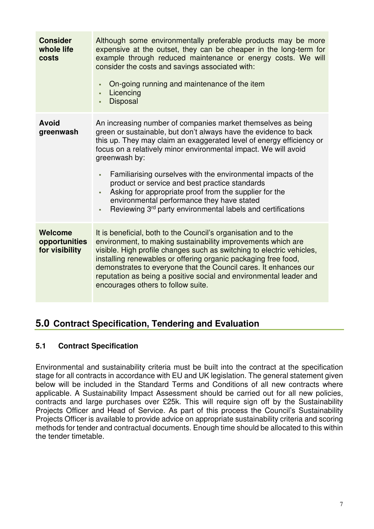| <b>Consider</b><br>whole life<br>costs     | Although some environmentally preferable products may be more<br>expensive at the outset, they can be cheaper in the long-term for<br>example through reduced maintenance or energy costs. We will<br>consider the costs and savings associated with:<br>On-going running and maintenance of the item<br>٠<br>Licencing<br>ä,<br><b>Disposal</b><br>ä,                                                                                                                                                                                                                                                   |
|--------------------------------------------|----------------------------------------------------------------------------------------------------------------------------------------------------------------------------------------------------------------------------------------------------------------------------------------------------------------------------------------------------------------------------------------------------------------------------------------------------------------------------------------------------------------------------------------------------------------------------------------------------------|
| <b>Avoid</b><br>greenwash                  | An increasing number of companies market themselves as being<br>green or sustainable, but don't always have the evidence to back<br>this up. They may claim an exaggerated level of energy efficiency or<br>focus on a relatively minor environmental impact. We will avoid<br>greenwash by:<br>Familiarising ourselves with the environmental impacts of the<br>ä,<br>product or service and best practice standards<br>Asking for appropriate proof from the supplier for the<br>ä,<br>environmental performance they have stated<br>Reviewing 3rd party environmental labels and certifications<br>ä, |
| Welcome<br>opportunities<br>for visibility | It is beneficial, both to the Council's organisation and to the<br>environment, to making sustainability improvements which are<br>visible. High profile changes such as switching to electric vehicles,<br>installing renewables or offering organic packaging free food,<br>demonstrates to everyone that the Council cares. It enhances our<br>reputation as being a positive social and environmental leader and<br>encourages others to follow suite.                                                                                                                                               |

## **5.0 Contract Specification, Tendering and Evaluation**

#### **5.1 Contract Specification**

Environmental and sustainability criteria must be built into the contract at the specification stage for all contracts in accordance with EU and UK legislation. The general statement given below will be included in the Standard Terms and Conditions of all new contracts where applicable. A Sustainability Impact Assessment should be carried out for all new policies, contracts and large purchases over £25k. This will require sign off by the Sustainability Projects Officer and Head of Service. As part of this process the Council's Sustainability Projects Officer is available to provide advice on appropriate sustainability criteria and scoring methods for tender and contractual documents. Enough time should be allocated to this within the tender timetable.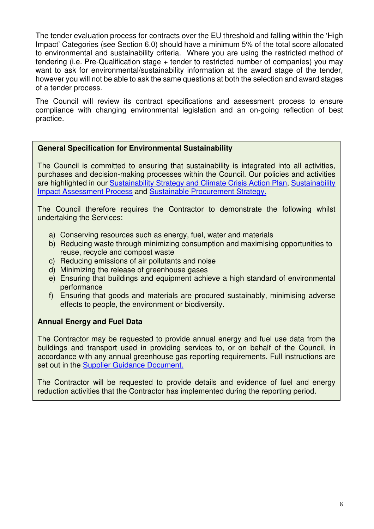The tender evaluation process for contracts over the EU threshold and falling within the 'High Impact' Categories (see Section 6.0) should have a minimum 5% of the total score allocated to environmental and sustainability criteria. Where you are using the restricted method of tendering (i.e. Pre-Qualification stage + tender to restricted number of companies) you may want to ask for environmental/sustainability information at the award stage of the tender, however you will not be able to ask the same questions at both the selection and award stages of a tender process.

The Council will review its contract specifications and assessment process to ensure compliance with changing environmental legislation and an on-going reflection of best practice.

#### **General Specification for Environmental Sustainability**

The Council is committed to ensuring that sustainability is integrated into all activities, purchases and decision-making processes within the Council. Our policies and activities are highlighted in our Sustainability Strategy and Climate Crisis Action Plan, Sustainability Impact Assessment Process and Sustainable Procurement Strategy.

The Council therefore requires the Contractor to demonstrate the following whilst undertaking the Services:

- a) Conserving resources such as energy, fuel, water and materials
- b) Reducing waste through minimizing consumption and maximising opportunities to reuse, recycle and compost waste
- c) Reducing emissions of air pollutants and noise
- d) Minimizing the release of greenhouse gases
- e) Ensuring that buildings and equipment achieve a high standard of environmental performance
- f) Ensuring that goods and materials are procured sustainably, minimising adverse effects to people, the environment or biodiversity.

#### **Annual Energy and Fuel Data**

The Contractor may be requested to provide annual energy and fuel use data from the buildings and transport used in providing services to, or on behalf of the Council, in accordance with any annual greenhouse gas reporting requirements. Full instructions are set out in the **Supplier Guidance Document.** 

The Contractor will be requested to provide details and evidence of fuel and energy reduction activities that the Contractor has implemented during the reporting period.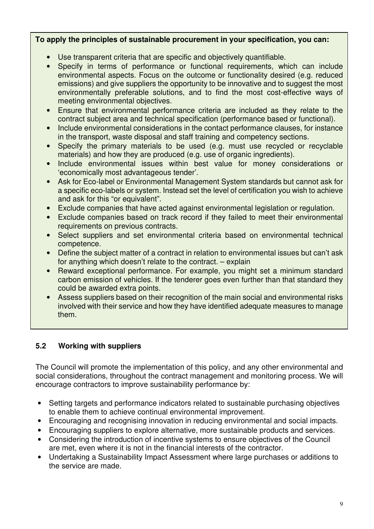#### **To apply the principles of sustainable procurement in your specification, you can:**

- Use transparent criteria that are specific and objectively quantifiable.
- Specify in terms of performance or functional requirements, which can include environmental aspects. Focus on the outcome or functionality desired (e.g. reduced emissions) and give suppliers the opportunity to be innovative and to suggest the most environmentally preferable solutions, and to find the most cost-effective ways of meeting environmental objectives.
- Ensure that environmental performance criteria are included as they relate to the contract subject area and technical specification (performance based or functional).
- Include environmental considerations in the contact performance clauses, for instance in the transport, waste disposal and staff training and competency sections.
- Specify the primary materials to be used (e.g. must use recycled or recyclable materials) and how they are produced (e.g. use of organic ingredients).
- Include environmental issues within best value for money considerations or 'economically most advantageous tender'.
- Ask for Eco-label or Environmental Management System standards but cannot ask for a specific eco-labels or system. Instead set the level of certification you wish to achieve and ask for this "or equivalent".
- Exclude companies that have acted against environmental legislation or regulation.
- Exclude companies based on track record if they failed to meet their environmental requirements on previous contracts.
- Select suppliers and set environmental criteria based on environmental technical competence.
- Define the subject matter of a contract in relation to environmental issues but can't ask for anything which doesn't relate to the contract. – explain
- Reward exceptional performance. For example, you might set a minimum standard carbon emission of vehicles. If the tenderer goes even further than that standard they could be awarded extra points.
- Assess suppliers based on their recognition of the main social and environmental risks involved with their service and how they have identified adequate measures to manage them.

#### **5.2 Working with suppliers**

The Council will promote the implementation of this policy, and any other environmental and social considerations, throughout the contract management and monitoring process. We will encourage contractors to improve sustainability performance by:

- Setting targets and performance indicators related to sustainable purchasing objectives to enable them to achieve continual environmental improvement.
- Encouraging and recognising innovation in reducing environmental and social impacts.
- Encouraging suppliers to explore alternative, more sustainable products and services.
- Considering the introduction of incentive systems to ensure objectives of the Council are met, even where it is not in the financial interests of the contractor.
- Undertaking a Sustainability Impact Assessment where large purchases or additions to the service are made.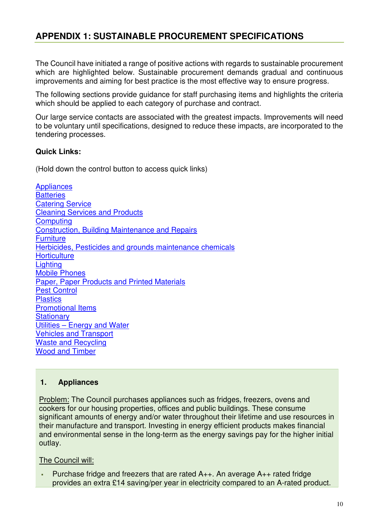## **APPENDIX 1: SUSTAINABLE PROCUREMENT SPECIFICATIONS**

The Council have initiated a range of positive actions with regards to sustainable procurement which are highlighted below. Sustainable procurement demands gradual and continuous improvements and aiming for best practice is the most effective way to ensure progress.

The following sections provide guidance for staff purchasing items and highlights the criteria which should be applied to each category of purchase and contract.

Our large service contacts are associated with the greatest impacts. Improvements will need to be voluntary until specifications, designed to reduce these impacts, are incorporated to the tendering processes.

#### **Quick Links:**

(Hold down the control button to access quick links)

**Appliances Batteries** Catering Service Cleaning Services and Products **Computing** Construction, Building Maintenance and Repairs **Furniture** Herbicides, Pesticides and grounds maintenance chemicals **Horticulture Lighting** Mobile Phones Paper, Paper Products and Printed Materials Pest Control **Plastics** Promotional Items **Stationary** Utilities – Energy and Water Vehicles and Transport Waste and Recycling Wood and Timber

#### **1. Appliances**

Problem: The Council purchases appliances such as fridges, freezers, ovens and cookers for our housing properties, offices and public buildings. These consume significant amounts of energy and/or water throughout their lifetime and use resources in their manufacture and transport. Investing in energy efficient products makes financial and environmental sense in the long-term as the energy savings pay for the higher initial outlay.

#### The Council will:

 Purchase fridge and freezers that are rated A++. An average A++ rated fridge provides an extra £14 saving/per year in electricity compared to an A-rated product.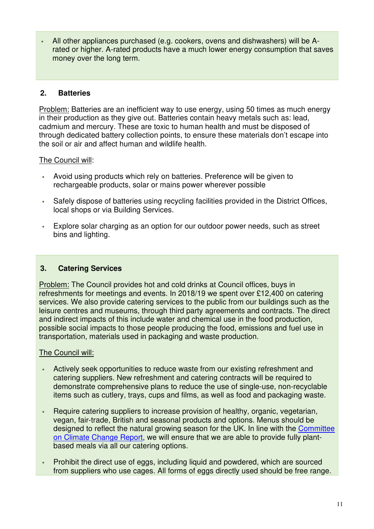All other appliances purchased (e.g. cookers, ovens and dishwashers) will be Arated or higher. A-rated products have a much lower energy consumption that saves money over the long term.

#### **2. Batteries**

Problem: Batteries are an inefficient way to use energy, using 50 times as much energy in their production as they give out. Batteries contain heavy metals such as: lead, cadmium and mercury. These are toxic to human health and must be disposed of through dedicated battery collection points, to ensure these materials don't escape into the soil or air and affect human and wildlife health.

The Council will:

- Avoid using products which rely on batteries. Preference will be given to rechargeable products, solar or mains power wherever possible
- Safely dispose of batteries using recycling facilities provided in the District Offices, local shops or via Building Services.
- Explore solar charging as an option for our outdoor power needs, such as street bins and lighting.

#### **3. Catering Services**

Problem: The Council provides hot and cold drinks at Council offices, buys in refreshments for meetings and events. In 2018/19 we spent over £12,400 on catering services. We also provide catering services to the public from our buildings such as the leisure centres and museums, through third party agreements and contracts. The direct and indirect impacts of this include water and chemical use in the food production, possible social impacts to those people producing the food, emissions and fuel use in transportation, materials used in packaging and waste production.

- Actively seek opportunities to reduce waste from our existing refreshment and catering suppliers. New refreshment and catering contracts will be required to demonstrate comprehensive plans to reduce the use of single-use, non-recyclable items such as cutlery, trays, cups and films, as well as food and packaging waste.
- Require catering suppliers to increase provision of healthy, organic, vegetarian, vegan, fair-trade, British and seasonal products and options. Menus should be designed to reflect the natural growing season for the UK. In line with the Committee on Climate Change Report, we will ensure that we are able to provide fully plantbased meals via all our catering options.
- Prohibit the direct use of eggs, including liquid and powdered, which are sourced from suppliers who use cages. All forms of eggs directly used should be free range.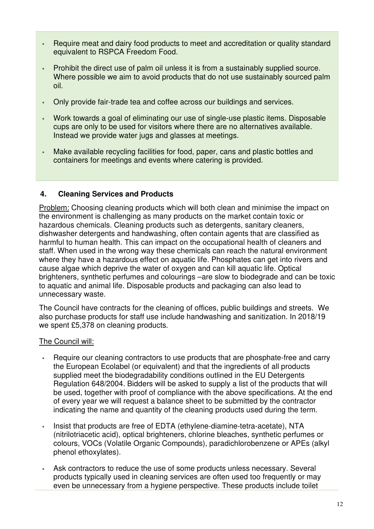- Require meat and dairy food products to meet and accreditation or quality standard equivalent to RSPCA Freedom Food.
- Prohibit the direct use of palm oil unless it is from a sustainably supplied source. Where possible we aim to avoid products that do not use sustainably sourced palm oil.
- Only provide fair-trade tea and coffee across our buildings and services.
- Work towards a goal of eliminating our use of single-use plastic items. Disposable cups are only to be used for visitors where there are no alternatives available. Instead we provide water jugs and glasses at meetings.
- Make available recycling facilities for food, paper, cans and plastic bottles and containers for meetings and events where catering is provided.

#### **4. Cleaning Services and Products**

Problem: Choosing cleaning products which will both clean and minimise the impact on the environment is challenging as many products on the market contain toxic or hazardous chemicals. Cleaning products such as detergents, sanitary cleaners, dishwasher detergents and handwashing, often contain agents that are classified as harmful to human health. This can impact on the occupational health of cleaners and staff. When used in the wrong way these chemicals can reach the natural environment where they have a hazardous effect on aquatic life. Phosphates can get into rivers and cause algae which deprive the water of oxygen and can kill aquatic life. Optical brighteners, synthetic perfumes and colourings –are slow to biodegrade and can be toxic to aquatic and animal life. Disposable products and packaging can also lead to unnecessary waste.

The Council have contracts for the cleaning of offices, public buildings and streets. We also purchase products for staff use include handwashing and sanitization. In 2018/19 we spent £5,378 on cleaning products.

- Require our cleaning contractors to use products that are phosphate-free and carry the European Ecolabel (or equivalent) and that the ingredients of all products supplied meet the biodegradability conditions outlined in the EU Detergents Regulation 648/2004. Bidders will be asked to supply a list of the products that will be used, together with proof of compliance with the above specifications. At the end of every year we will request a balance sheet to be submitted by the contractor indicating the name and quantity of the cleaning products used during the term.
- Insist that products are free of EDTA (ethylene-diamine-tetra-acetate), NTA (nitrilotriacetic acid), optical brighteners, chlorine bleaches, synthetic perfumes or colours, VOCs (Volatile Organic Compounds), paradichlorobenzene or APEs (alkyl phenol ethoxylates).
- Ask contractors to reduce the use of some products unless necessary. Several products typically used in cleaning services are often used too frequently or may even be unnecessary from a hygiene perspective. These products include toilet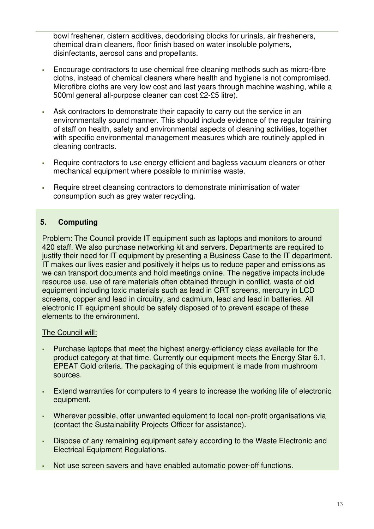bowl freshener, cistern additives, deodorising blocks for urinals, air fresheners, chemical drain cleaners, floor finish based on water insoluble polymers, disinfectants, aerosol cans and propellants.

- Encourage contractors to use chemical free cleaning methods such as micro-fibre cloths, instead of chemical cleaners where health and hygiene is not compromised. Microfibre cloths are very low cost and last years through machine washing, while a 500ml general all-purpose cleaner can cost £2-£5 litre).
- Ask contractors to demonstrate their capacity to carry out the service in an environmentally sound manner. This should include evidence of the regular training of staff on health, safety and environmental aspects of cleaning activities, together with specific environmental management measures which are routinely applied in cleaning contracts.
- Require contractors to use energy efficient and bagless vacuum cleaners or other mechanical equipment where possible to minimise waste.
- Require street cleansing contractors to demonstrate minimisation of water consumption such as grey water recycling.

#### **5. Computing**

Problem: The Council provide IT equipment such as laptops and monitors to around 420 staff. We also purchase networking kit and servers. Departments are required to justify their need for IT equipment by presenting a Business Case to the IT department. IT makes our lives easier and positively it helps us to reduce paper and emissions as we can transport documents and hold meetings online. The negative impacts include resource use, use of rare materials often obtained through in conflict, waste of old equipment including toxic materials such as lead in CRT screens, mercury in LCD screens, copper and lead in circuitry, and cadmium, lead and lead in batteries. All electronic IT equipment should be safely disposed of to prevent escape of these elements to the environment.

- Purchase laptops that meet the highest energy-efficiency class available for the product category at that time. Currently our equipment meets the Energy Star 6.1, EPEAT Gold criteria. The packaging of this equipment is made from mushroom sources.
- Extend warranties for computers to 4 years to increase the working life of electronic equipment.
- Wherever possible, offer unwanted equipment to local non-profit organisations via (contact the Sustainability Projects Officer for assistance).
- Dispose of any remaining equipment safely according to the Waste Electronic and Electrical Equipment Regulations.
- Not use screen savers and have enabled automatic power-off functions.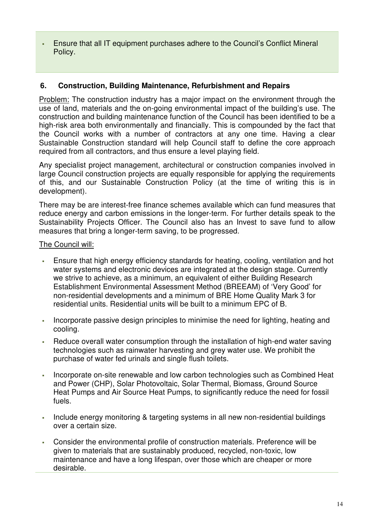Ensure that all IT equipment purchases adhere to the Council's Conflict Mineral Policy.

#### **6. Construction, Building Maintenance, Refurbishment and Repairs**

Problem: The construction industry has a major impact on the environment through the use of land, materials and the on-going environmental impact of the building's use. The construction and building maintenance function of the Council has been identified to be a high-risk area both environmentally and financially. This is compounded by the fact that the Council works with a number of contractors at any one time. Having a clear Sustainable Construction standard will help Council staff to define the core approach required from all contractors, and thus ensure a level playing field.

Any specialist project management, architectural or construction companies involved in large Council construction projects are equally responsible for applying the requirements of this, and our Sustainable Construction Policy (at the time of writing this is in development).

There may be are interest-free finance schemes available which can fund measures that reduce energy and carbon emissions in the longer-term. For further details speak to the Sustainability Projects Officer. The Council also has an Invest to save fund to allow measures that bring a longer-term saving, to be progressed.

- Ensure that high energy efficiency standards for heating, cooling, ventilation and hot water systems and electronic devices are integrated at the design stage. Currently we strive to achieve, as a minimum, an equivalent of either Building Research Establishment Environmental Assessment Method (BREEAM) of 'Very Good' for non-residential developments and a minimum of BRE Home Quality Mark 3 for residential units. Residential units will be built to a minimum EPC of B.
- Incorporate passive design principles to minimise the need for lighting, heating and cooling.
- Reduce overall water consumption through the installation of high-end water saving technologies such as rainwater harvesting and grey water use. We prohibit the purchase of water fed urinals and single flush toilets.
- Incorporate on-site renewable and low carbon technologies such as Combined Heat and Power (CHP), Solar Photovoltaic, Solar Thermal, Biomass, Ground Source Heat Pumps and Air Source Heat Pumps, to significantly reduce the need for fossil fuels.
- Include energy monitoring & targeting systems in all new non-residential buildings over a certain size.
- Consider the environmental profile of construction materials. Preference will be given to materials that are sustainably produced, recycled, non-toxic, low maintenance and have a long lifespan, over those which are cheaper or more desirable.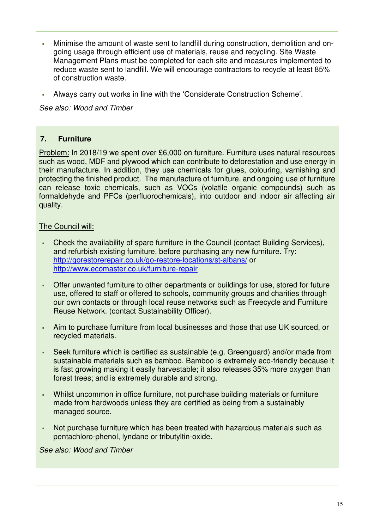- Minimise the amount of waste sent to landfill during construction, demolition and ongoing usage through efficient use of materials, reuse and recycling. Site Waste Management Plans must be completed for each site and measures implemented to reduce waste sent to landfill. We will encourage contractors to recycle at least 85% of construction waste.
- Always carry out works in line with the 'Considerate Construction Scheme'.

*See also: Wood and Timber* 

#### **7. Furniture**

Problem: In 2018/19 we spent over £6,000 on furniture. Furniture uses natural resources such as wood, MDF and plywood which can contribute to deforestation and use energy in their manufacture. In addition, they use chemicals for glues, colouring, varnishing and protecting the finished product. The manufacture of furniture, and ongoing use of furniture can release toxic chemicals, such as VOCs (volatile organic compounds) such as formaldehyde and PFCs (perfluorochemicals), into outdoor and indoor air affecting air quality.

#### The Council will:

- Check the availability of spare furniture in the Council (contact Building Services), and refurbish existing furniture, before purchasing any new furniture. Try: http://gorestorerepair.co.uk/go-restore-locations/st-albans/ or http://www.ecomaster.co.uk/furniture-repair
- Offer unwanted furniture to other departments or buildings for use, stored for future use, offered to staff or offered to schools, community groups and charities through our own contacts or through local reuse networks such as Freecycle and Furniture Reuse Network. (contact Sustainability Officer).
- Aim to purchase furniture from local businesses and those that use UK sourced, or recycled materials.
- Seek furniture which is certified as sustainable (e.g. Greenguard) and/or made from sustainable materials such as bamboo. Bamboo is extremely eco-friendly because it is fast growing making it easily harvestable; it also releases 35% more oxygen than forest trees; and is extremely durable and strong.
- Whilst uncommon in office furniture, not purchase building materials or furniture made from hardwoods unless they are certified as being from a sustainably managed source.
- Not purchase furniture which has been treated with hazardous materials such as pentachloro-phenol, lyndane or tributyltin-oxide.

*See also: Wood and Timber*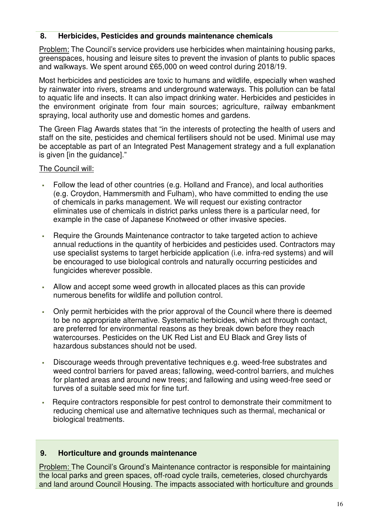#### **8. Herbicides, Pesticides and grounds maintenance chemicals**

Problem: The Council's service providers use herbicides when maintaining housing parks, greenspaces, housing and leisure sites to prevent the invasion of plants to public spaces and walkways. We spent around £65,000 on weed control during 2018/19.

Most herbicides and pesticides are toxic to humans and wildlife, especially when washed by rainwater into rivers, streams and underground waterways. This pollution can be fatal to aquatic life and insects. It can also impact drinking water. Herbicides and pesticides in the environment originate from four main sources; agriculture, railway embankment spraying, local authority use and domestic homes and gardens.

The Green Flag Awards states that "in the interests of protecting the health of users and staff on the site, pesticides and chemical fertilisers should not be used. Minimal use may be acceptable as part of an Integrated Pest Management strategy and a full explanation is given [in the guidance]."

#### The Council will:

- Follow the lead of other countries (e.g. Holland and France), and local authorities (e.g. Croydon, Hammersmith and Fulham), who have committed to ending the use of chemicals in parks management. We will request our existing contractor eliminates use of chemicals in district parks unless there is a particular need, for example in the case of Japanese Knotweed or other invasive species.
- Require the Grounds Maintenance contractor to take targeted action to achieve annual reductions in the quantity of herbicides and pesticides used. Contractors may use specialist systems to target herbicide application (i.e. infra-red systems) and will be encouraged to use biological controls and naturally occurring pesticides and fungicides wherever possible.
- Allow and accept some weed growth in allocated places as this can provide numerous benefits for wildlife and pollution control.
- Only permit herbicides with the prior approval of the Council where there is deemed to be no appropriate alternative. Systematic herbicides, which act through contact, are preferred for environmental reasons as they break down before they reach watercourses. Pesticides on the UK Red List and EU Black and Grey lists of hazardous substances should not be used.
- Discourage weeds through preventative techniques e.g. weed-free substrates and weed control barriers for paved areas; fallowing, weed-control barriers, and mulches for planted areas and around new trees; and fallowing and using weed-free seed or turves of a suitable seed mix for fine turf.
- Require contractors responsible for pest control to demonstrate their commitment to reducing chemical use and alternative techniques such as thermal, mechanical or biological treatments.

#### **9. Horticulture and grounds maintenance**

Problem: The Council's Ground's Maintenance contractor is responsible for maintaining the local parks and green spaces, off-road cycle trails, cemeteries, closed churchyards and land around Council Housing. The impacts associated with horticulture and grounds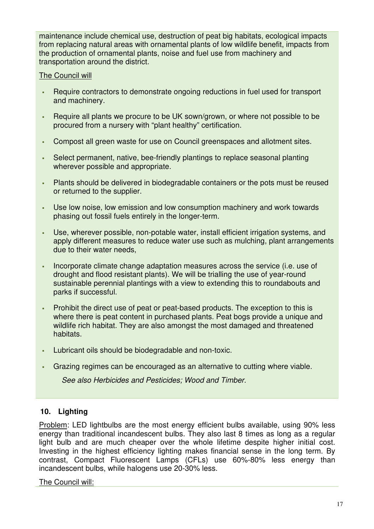maintenance include chemical use, destruction of peat big habitats, ecological impacts from replacing natural areas with ornamental plants of low wildlife benefit, impacts from the production of ornamental plants, noise and fuel use from machinery and transportation around the district.

#### The Council will

- Require contractors to demonstrate ongoing reductions in fuel used for transport and machinery.
- Require all plants we procure to be UK sown/grown, or where not possible to be procured from a nursery with "plant healthy" certification.
- Compost all green waste for use on Council greenspaces and allotment sites.
- Select permanent, native, bee-friendly plantings to replace seasonal planting wherever possible and appropriate.
- Plants should be delivered in biodegradable containers or the pots must be reused or returned to the supplier.
- Use low noise, low emission and low consumption machinery and work towards phasing out fossil fuels entirely in the longer-term.
- Use, wherever possible, non-potable water, install efficient irrigation systems, and apply different measures to reduce water use such as mulching, plant arrangements due to their water needs,
- Incorporate climate change adaptation measures across the service (i.e. use of drought and flood resistant plants). We will be trialling the use of year-round sustainable perennial plantings with a view to extending this to roundabouts and parks if successful.
- Prohibit the direct use of peat or peat-based products. The exception to this is where there is peat content in purchased plants. Peat bogs provide a unique and wildlife rich habitat. They are also amongst the most damaged and threatened habitats.
- Lubricant oils should be biodegradable and non-toxic.
- Grazing regimes can be encouraged as an alternative to cutting where viable.

*See also Herbicides and Pesticides; Wood and Timber.* 

#### **10. Lighting**

Problem: LED lightbulbs are the most energy efficient bulbs available, using 90% less energy than traditional incandescent bulbs. They also last 8 times as long as a regular light bulb and are much cheaper over the whole lifetime despite higher initial cost. Investing in the highest efficiency lighting makes financial sense in the long term. By contrast, Compact Fluorescent Lamps (CFLs) use 60%-80% less energy than incandescent bulbs, while halogens use 20-30% less.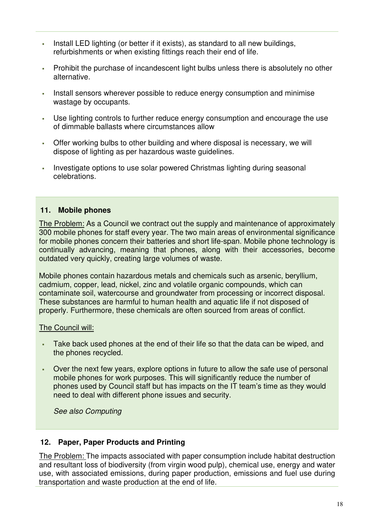- Install LED lighting (or better if it exists), as standard to all new buildings, refurbishments or when existing fittings reach their end of life.
- Prohibit the purchase of incandescent light bulbs unless there is absolutely no other alternative.
- Install sensors wherever possible to reduce energy consumption and minimise wastage by occupants.
- Use lighting controls to further reduce energy consumption and encourage the use of dimmable ballasts where circumstances allow
- Offer working bulbs to other building and where disposal is necessary, we will dispose of lighting as per hazardous waste guidelines.
- Investigate options to use solar powered Christmas lighting during seasonal celebrations.

#### **11. Mobile phones**

The Problem: As a Council we contract out the supply and maintenance of approximately 300 mobile phones for staff every year. The two main areas of environmental significance for mobile phones concern their batteries and short life-span. Mobile phone technology is continually advancing, meaning that phones, along with their accessories, become outdated very quickly, creating large volumes of waste.

Mobile phones contain hazardous metals and chemicals such as arsenic, beryllium, cadmium, copper, lead, nickel, zinc and volatile organic compounds, which can contaminate soil, watercourse and groundwater from processing or incorrect disposal. These substances are harmful to human health and aquatic life if not disposed of properly. Furthermore, these chemicals are often sourced from areas of conflict.

#### The Council will:

- Take back used phones at the end of their life so that the data can be wiped, and the phones recycled.
- Over the next few years, explore options in future to allow the safe use of personal mobile phones for work purposes. This will significantly reduce the number of phones used by Council staff but has impacts on the IT team's time as they would need to deal with different phone issues and security.

*See also Computing* 

#### **12. Paper, Paper Products and Printing**

The Problem: The impacts associated with paper consumption include habitat destruction and resultant loss of biodiversity (from virgin wood pulp), chemical use, energy and water use, with associated emissions, during paper production, emissions and fuel use during transportation and waste production at the end of life.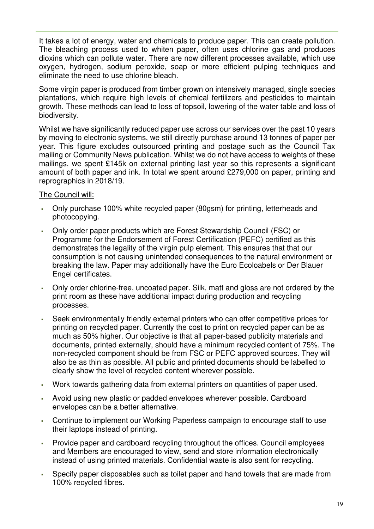It takes a lot of energy, water and chemicals to produce paper. This can create pollution. The bleaching process used to whiten paper, often uses chlorine gas and produces dioxins which can pollute water. There are now different processes available, which use oxygen, hydrogen, sodium peroxide, soap or more efficient pulping techniques and eliminate the need to use chlorine bleach.

Some virgin paper is produced from timber grown on intensively managed, single species plantations, which require high levels of chemical fertilizers and pesticides to maintain growth. These methods can lead to loss of topsoil, lowering of the water table and loss of biodiversity.

Whilst we have significantly reduced paper use across our services over the past 10 years by moving to electronic systems, we still directly purchase around 13 tonnes of paper per year. This figure excludes outsourced printing and postage such as the Council Tax mailing or Community News publication. Whilst we do not have access to weights of these mailings, we spent £145k on external printing last year so this represents a significant amount of both paper and ink. In total we spent around £279,000 on paper, printing and reprographics in 2018/19.

- Only purchase 100% white recycled paper (80gsm) for printing, letterheads and photocopying.
- Only order paper products which are Forest Stewardship Council (FSC) or Programme for the Endorsement of Forest Certification (PEFC) certified as this demonstrates the legality of the virgin pulp element. This ensures that that our consumption is not causing unintended consequences to the natural environment or breaking the law. Paper may additionally have the Euro Ecoloabels or Der Blauer Engel certificates.
- Only order chlorine-free, uncoated paper. Silk, matt and gloss are not ordered by the print room as these have additional impact during production and recycling processes.
- Seek environmentally friendly external printers who can offer competitive prices for printing on recycled paper. Currently the cost to print on recycled paper can be as much as 50% higher. Our objective is that all paper-based publicity materials and documents, printed externally, should have a minimum recycled content of 75%. The non-recycled component should be from FSC or PEFC approved sources. They will also be as thin as possible. All public and printed documents should be labelled to clearly show the level of recycled content wherever possible.
- Work towards gathering data from external printers on quantities of paper used.
- Avoid using new plastic or padded envelopes wherever possible. Cardboard envelopes can be a better alternative.
- Continue to implement our Working Paperless campaign to encourage staff to use their laptops instead of printing.
- Provide paper and cardboard recycling throughout the offices. Council employees and Members are encouraged to view, send and store information electronically instead of using printed materials. Confidential waste is also sent for recycling.
- Specify paper disposables such as toilet paper and hand towels that are made from 100% recycled fibres.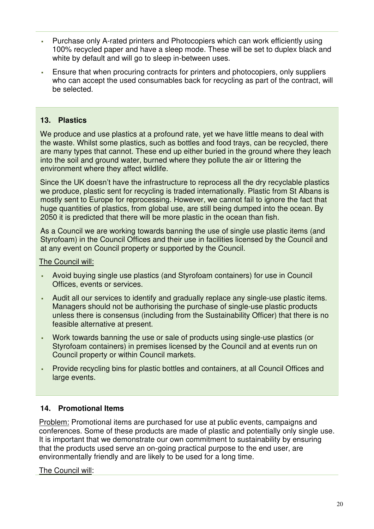- Purchase only A-rated printers and Photocopiers which can work efficiently using 100% recycled paper and have a sleep mode. These will be set to duplex black and white by default and will go to sleep in-between uses.
- Ensure that when procuring contracts for printers and photocopiers, only suppliers who can accept the used consumables back for recycling as part of the contract, will be selected.

#### **13. Plastics**

We produce and use plastics at a profound rate, yet we have little means to deal with the waste. Whilst some plastics, such as bottles and food trays, can be recycled, there are many types that cannot. These end up either buried in the ground where they leach into the soil and ground water, burned where they pollute the air or littering the environment where they affect wildlife.

Since the UK doesn't have the infrastructure to reprocess all the dry recyclable plastics we produce, plastic sent for recycling is traded internationally. Plastic from St Albans is mostly sent to Europe for reprocessing. However, we cannot fail to ignore the fact that huge quantities of plastics, from global use, are still being dumped into the ocean. By 2050 it is predicted that there will be more plastic in the ocean than fish.

As a Council we are working towards banning the use of single use plastic items (and Styrofoam) in the Council Offices and their use in facilities licensed by the Council and at any event on Council property or supported by the Council.

The Council will:

- Avoid buying single use plastics (and Styrofoam containers) for use in Council Offices, events or services.
- Audit all our services to identify and gradually replace any single-use plastic items. Managers should not be authorising the purchase of single-use plastic products unless there is consensus (including from the Sustainability Officer) that there is no feasible alternative at present.
- Work towards banning the use or sale of products using single-use plastics (or Styrofoam containers) in premises licensed by the Council and at events run on Council property or within Council markets.
- Provide recycling bins for plastic bottles and containers, at all Council Offices and large events.

#### **14. Promotional Items**

Problem: Promotional items are purchased for use at public events, campaigns and conferences. Some of these products are made of plastic and potentially only single use. It is important that we demonstrate our own commitment to sustainability by ensuring that the products used serve an on-going practical purpose to the end user, are environmentally friendly and are likely to be used for a long time.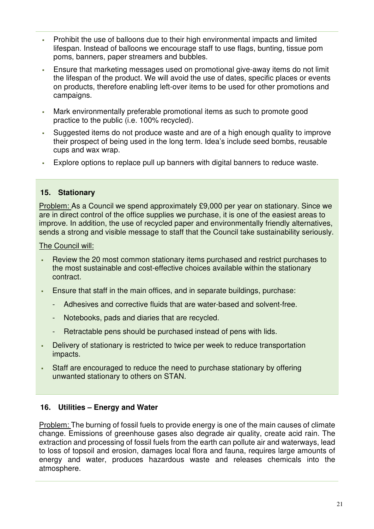- Prohibit the use of balloons due to their high environmental impacts and limited lifespan. Instead of balloons we encourage staff to use flags, bunting, tissue pom poms, banners, paper streamers and bubbles.
- Ensure that marketing messages used on promotional give-away items do not limit the lifespan of the product. We will avoid the use of dates, specific places or events on products, therefore enabling left-over items to be used for other promotions and campaigns.
- Mark environmentally preferable promotional items as such to promote good practice to the public (i.e. 100% recycled).
- Suggested items do not produce waste and are of a high enough quality to improve their prospect of being used in the long term. Idea's include seed bombs, reusable cups and wax wrap.
- Explore options to replace pull up banners with digital banners to reduce waste.

#### **15. Stationary**

Problem: As a Council we spend approximately £9,000 per year on stationary. Since we are in direct control of the office supplies we purchase, it is one of the easiest areas to improve. In addition, the use of recycled paper and environmentally friendly alternatives, sends a strong and visible message to staff that the Council take sustainability seriously.

The Council will:

- Review the 20 most common stationary items purchased and restrict purchases to the most sustainable and cost-effective choices available within the stationary contract.
- Ensure that staff in the main offices, and in separate buildings, purchase:
	- Adhesives and corrective fluids that are water-based and solvent-free.
	- Notebooks, pads and diaries that are recycled.
	- Retractable pens should be purchased instead of pens with lids.
- Delivery of stationary is restricted to twice per week to reduce transportation impacts.
- Staff are encouraged to reduce the need to purchase stationary by offering unwanted stationary to others on STAN.

#### **16. Utilities – Energy and Water**

Problem: The burning of fossil fuels to provide energy is one of the main causes of climate change. Emissions of greenhouse gases also degrade air quality, create acid rain. The extraction and processing of fossil fuels from the earth can pollute air and waterways, lead to loss of topsoil and erosion, damages local flora and fauna, requires large amounts of energy and water, produces hazardous waste and releases chemicals into the atmosphere.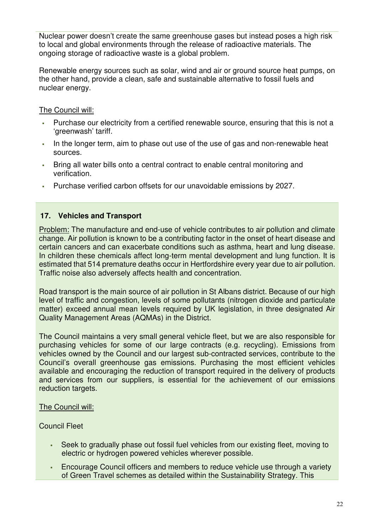Nuclear power doesn't create the same greenhouse gases but instead poses a high risk to local and global environments through the release of radioactive materials. The ongoing storage of radioactive waste is a global problem.

Renewable energy sources such as solar, wind and air or ground source heat pumps, on the other hand, provide a clean, safe and sustainable alternative to fossil fuels and nuclear energy.

The Council will:

- Purchase our electricity from a certified renewable source, ensuring that this is not a 'greenwash' tariff.
- In the longer term, aim to phase out use of the use of gas and non-renewable heat sources.
- Bring all water bills onto a central contract to enable central monitoring and verification.
- Purchase verified carbon offsets for our unavoidable emissions by 2027.

#### **17. Vehicles and Transport**

Problem: The manufacture and end-use of vehicle contributes to air pollution and climate change. Air pollution is known to be a contributing factor in the onset of heart disease and certain cancers and can exacerbate conditions such as asthma, heart and lung disease. In children these chemicals affect long-term mental development and lung function. It is estimated that 514 premature deaths occur in Hertfordshire every year due to air pollution. Traffic noise also adversely affects health and concentration.

Road transport is the main source of air pollution in St Albans district. Because of our high level of traffic and congestion, levels of some pollutants (nitrogen dioxide and particulate matter) exceed annual mean levels required by UK legislation, in three designated Air Quality Management Areas (AQMAs) in the District.

The Council maintains a very small general vehicle fleet, but we are also responsible for purchasing vehicles for some of our large contracts (e.g. recycling). Emissions from vehicles owned by the Council and our largest sub-contracted services, contribute to the Council's overall greenhouse gas emissions. Purchasing the most efficient vehicles available and encouraging the reduction of transport required in the delivery of products and services from our suppliers, is essential for the achievement of our emissions reduction targets.

#### The Council will:

#### Council Fleet

- Seek to gradually phase out fossil fuel vehicles from our existing fleet, moving to electric or hydrogen powered vehicles wherever possible.
- Encourage Council officers and members to reduce vehicle use through a variety of Green Travel schemes as detailed within the Sustainability Strategy. This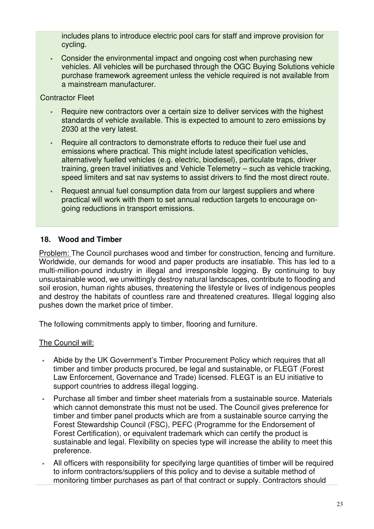includes plans to introduce electric pool cars for staff and improve provision for cycling.

 Consider the environmental impact and ongoing cost when purchasing new vehicles. All vehicles will be purchased through the OGC Buying Solutions vehicle purchase framework agreement unless the vehicle required is not available from a mainstream manufacturer.

#### Contractor Fleet

- Require new contractors over a certain size to deliver services with the highest standards of vehicle available. This is expected to amount to zero emissions by 2030 at the very latest.
- Require all contractors to demonstrate efforts to reduce their fuel use and emissions where practical. This might include latest specification vehicles, alternatively fuelled vehicles (e.g. electric, biodiesel), particulate traps, driver training, green travel initiatives and Vehicle Telemetry – such as vehicle tracking, speed limiters and sat nav systems to assist drivers to find the most direct route.
- Request annual fuel consumption data from our largest suppliers and where practical will work with them to set annual reduction targets to encourage ongoing reductions in transport emissions.

#### **18. Wood and Timber**

Problem: The Council purchases wood and timber for construction, fencing and furniture. Worldwide, our demands for wood and paper products are insatiable. This has led to a multi-million-pound industry in illegal and irresponsible logging. By continuing to buy unsustainable wood, we unwittingly destroy natural landscapes, contribute to flooding and soil erosion, human rights abuses, threatening the lifestyle or lives of indigenous peoples and destroy the habitats of countless rare and threatened creatures. Illegal logging also pushes down the market price of timber.

The following commitments apply to timber, flooring and furniture.

- Abide by the UK Government's Timber Procurement Policy which requires that all timber and timber products procured, be legal and sustainable, or FLEGT (Forest Law Enforcement, Governance and Trade) licensed. FLEGT is an EU initiative to support countries to address illegal logging.
- Purchase all timber and timber sheet materials from a sustainable source. Materials which cannot demonstrate this must not be used. The Council gives preference for timber and timber panel products which are from a sustainable source carrying the Forest Stewardship Council (FSC), PEFC (Programme for the Endorsement of Forest Certification), or equivalent trademark which can certify the product is sustainable and legal. Flexibility on species type will increase the ability to meet this preference.
- All officers with responsibility for specifying large quantities of timber will be required to inform contractors/suppliers of this policy and to devise a suitable method of monitoring timber purchases as part of that contract or supply. Contractors should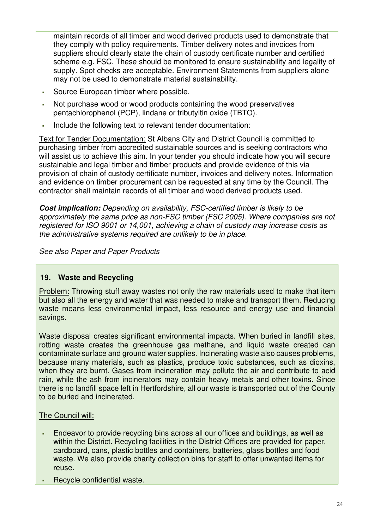maintain records of all timber and wood derived products used to demonstrate that they comply with policy requirements. Timber delivery notes and invoices from suppliers should clearly state the chain of custody certificate number and certified scheme e.g. FSC. These should be monitored to ensure sustainability and legality of supply. Spot checks are acceptable. Environment Statements from suppliers alone may not be used to demonstrate material sustainability.

- Source European timber where possible.
- Not purchase wood or wood products containing the wood preservatives pentachlorophenol (PCP), lindane or tributyltin oxide (TBTO).
- Include the following text to relevant tender documentation:

Text for Tender Documentation: St Albans City and District Council is committed to purchasing timber from accredited sustainable sources and is seeking contractors who will assist us to achieve this aim. In your tender you should indicate how you will secure sustainable and legal timber and timber products and provide evidence of this via provision of chain of custody certificate number, invoices and delivery notes. Information and evidence on timber procurement can be requested at any time by the Council. The contractor shall maintain records of all timber and wood derived products used.

**Cost implication:** *Depending on availability, FSC-certified timber is likely to be approximately the same price as non-FSC timber (FSC 2005). Where companies are not registered for ISO 9001 or 14,001, achieving a chain of custody may increase costs as the administrative systems required are unlikely to be in place.* 

*See also Paper and Paper Products* 

#### **19. Waste and Recycling**

Problem: Throwing stuff away wastes not only the raw materials used to make that item but also all the energy and water that was needed to make and transport them. Reducing waste means less environmental impact, less resource and energy use and financial savings.

Waste disposal creates significant environmental impacts. When buried in landfill sites, rotting waste creates the greenhouse gas methane, and liquid waste created can contaminate surface and ground water supplies. Incinerating waste also causes problems, because many materials, such as plastics, produce toxic substances, such as dioxins, when they are burnt. Gases from incineration may pollute the air and contribute to acid rain, while the ash from incinerators may contain heavy metals and other toxins. Since there is no landfill space left in Hertfordshire, all our waste is transported out of the County to be buried and incinerated.

- Endeavor to provide recycling bins across all our offices and buildings, as well as within the District. Recycling facilities in the District Offices are provided for paper, cardboard, cans, plastic bottles and containers, batteries, glass bottles and food waste. We also provide charity collection bins for staff to offer unwanted items for reuse.
- **Recycle confidential waste.**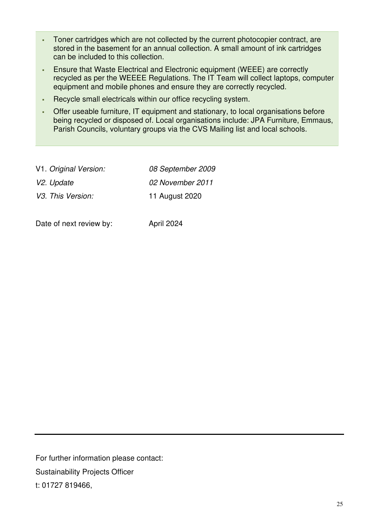- Toner cartridges which are not collected by the current photocopier contract, are stored in the basement for an annual collection. A small amount of ink cartridges can be included to this collection.
- Ensure that Waste Electrical and Electronic equipment (WEEE) are correctly recycled as per the WEEEE Regulations. The IT Team will collect laptops, computer equipment and mobile phones and ensure they are correctly recycled.
- Recycle small electricals within our office recycling system.
- Offer useable furniture, IT equipment and stationary, to local organisations before being recycled or disposed of. Local organisations include: JPA Furniture, Emmaus, Parish Councils, voluntary groups via the CVS Mailing list and local schools.

| V1. Original Version: | 08 September 2009 |
|-----------------------|-------------------|
| V2. Update            | 02 November 2011  |
| V3. This Version:     | 11 August 2020    |

Date of next review by: April 2024

For further information please contact: Sustainability Projects Officer t: 01727 819466,